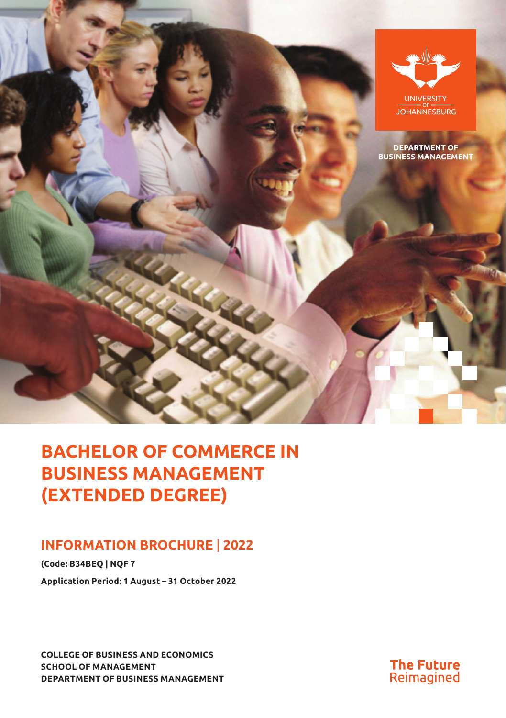

# **BACHELOR OF COMMERCE IN BUSINESS MANAGEMENT (EXTENDED DEGREE)**

## **INFORMATION BROCHURE** | **2022**

**(Code: B34BEQ | NQF 7 Application Period: 1 August – 31 October 2022**

**COLLEGE OF BUSINESS AND ECONOMICS SCHOOL OF MANAGEMENT DEPARTMENT OF BUSINESS MANAGEMENT**

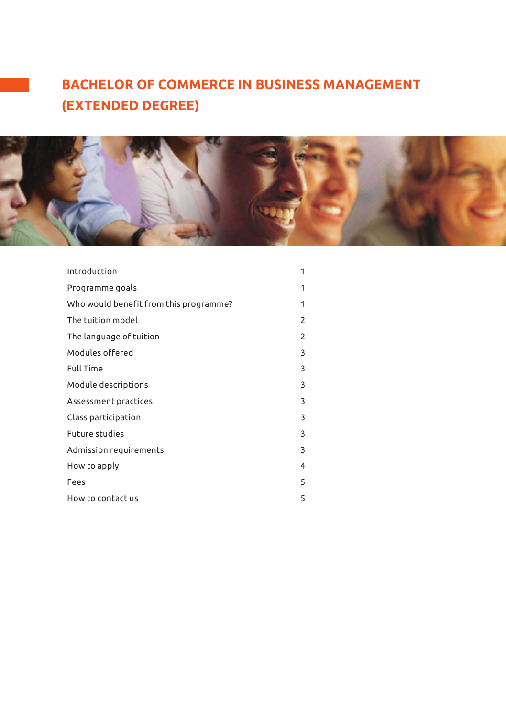# **BACHELOR OF COMMERCE IN BUSINESS MANAGEMENT (EXTENDED DEGREE)**



| Introduction                           | 1              |
|----------------------------------------|----------------|
| Programme goals                        | 1              |
| Who would benefit from this programme? | 1              |
| The tuition model                      | $\overline{2}$ |
| The language of tuition                | $\overline{c}$ |
| Modules offered                        | 3              |
| <b>Full Time</b>                       | 3              |
| Module descriptions                    | 3              |
| Assessment practices                   | 3              |
| Class participation                    | 3              |
| Future studies                         | 3              |
| Admission requirements                 | 3              |
| How to apply                           | 4              |
| Fees                                   | 5              |
| How to contact us                      | 5              |
|                                        |                |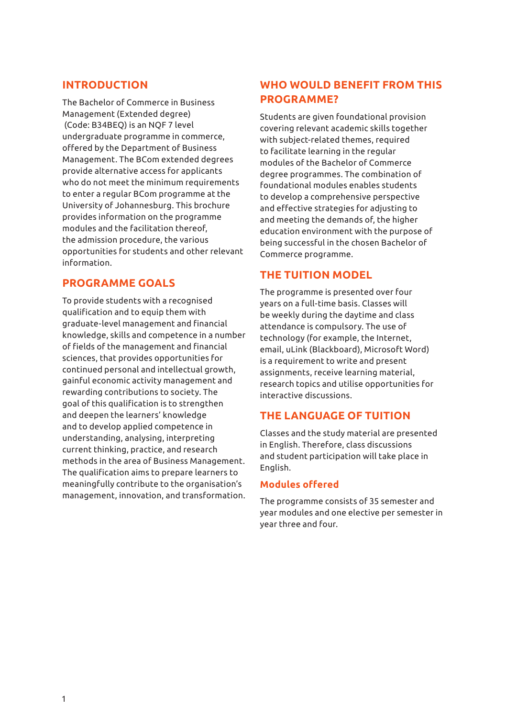### **INTRODUCTION**

The Bachelor of Commerce in Business Management (Extended degree) (Code: B34BEQ) is an NQF 7 level undergraduate programme in commerce, offered by the Department of Business Management. The BCom extended degrees provide alternative access for applicants who do not meet the minimum requirements to enter a regular BCom programme at the University of Johannesburg. This brochure provides information on the programme modules and the facilitation thereof, the admission procedure, the various opportunities for students and other relevant information.

## **PROGRAMME GOALS**

To provide students with a recognised qualification and to equip them with graduate-level management and financial knowledge, skills and competence in a number of fields of the management and financial sciences, that provides opportunities for continued personal and intellectual growth, gainful economic activity management and rewarding contributions to society. The goal of this qualification is to strengthen and deepen the learners' knowledge and to develop applied competence in understanding, analysing, interpreting current thinking, practice, and research methods in the area of Business Management. The qualification aims to prepare learners to meaningfully contribute to the organisation's management, innovation, and transformation.

## **WHO WOULD BENEFIT FROM THIS PROGRAMME?**

Students are given foundational provision covering relevant academic skills together with subject-related themes, required to facilitate learning in the regular modules of the Bachelor of Commerce degree programmes. The combination of foundational modules enables students to develop a comprehensive perspective and effective strategies for adjusting to and meeting the demands of, the higher education environment with the purpose of being successful in the chosen Bachelor of Commerce programme.

## **THE TUITION MODEL**

The programme is presented over four years on a full-time basis. Classes will be weekly during the daytime and class attendance is compulsory. The use of technology (for example, the Internet, email, uLink (Blackboard), Microsoft Word) is a requirement to write and present assignments, receive learning material, research topics and utilise opportunities for interactive discussions.

## **THE LANGUAGE OF TUITION**

Classes and the study material are presented in English. Therefore, class discussions and student participation will take place in English.

#### **Modules offered**

The programme consists of 35 semester and year modules and one elective per semester in year three and four.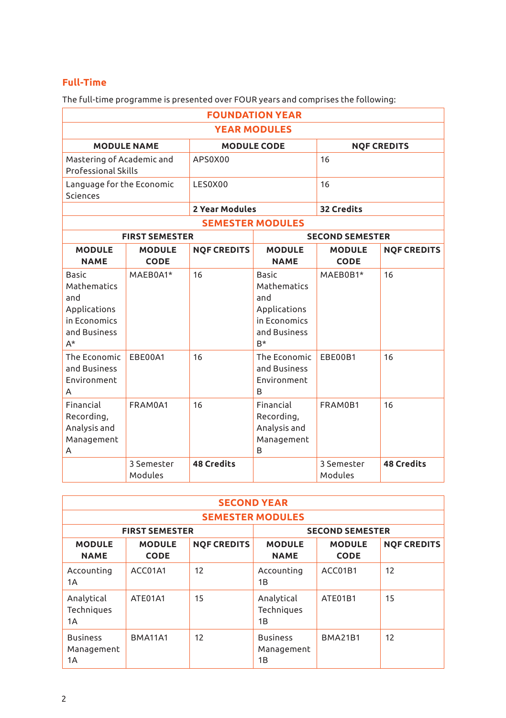## **Full-Time**

The full-time programme is presented over FOUR years and comprises the following:

| <b>FOUNDATION YEAR</b>                                                            |                              |                    |                                                                                     |                              |                    |  |
|-----------------------------------------------------------------------------------|------------------------------|--------------------|-------------------------------------------------------------------------------------|------------------------------|--------------------|--|
| <b>YEAR MODULES</b>                                                               |                              |                    |                                                                                     |                              |                    |  |
|                                                                                   | <b>MODULE NAME</b>           |                    | <b>MODULE CODE</b>                                                                  |                              | <b>NOF CREDITS</b> |  |
| Mastering of Academic and<br><b>Professional Skills</b>                           |                              | APS0X00            |                                                                                     | 16                           |                    |  |
| Language for the Economic<br>Sciences                                             |                              | LES0X00            |                                                                                     |                              | 16                 |  |
|                                                                                   |                              | 2 Year Modules     |                                                                                     | 32 Credits                   |                    |  |
|                                                                                   |                              |                    | <b>SEMESTER MODULES</b>                                                             |                              |                    |  |
|                                                                                   | <b>FIRST SEMESTER</b>        |                    |                                                                                     | <b>SECOND SEMESTER</b>       |                    |  |
| <b>MODULE</b><br><b>NAME</b>                                                      | <b>MODULE</b><br><b>CODE</b> | <b>NQF CREDITS</b> | <b>MODULE</b><br><b>NAME</b>                                                        | <b>MODULE</b><br><b>CODE</b> | <b>NOF CREDITS</b> |  |
| Basic<br>Mathematics<br>and<br>Applications<br>in Economics<br>and Business<br>A* | MAEB0A1*                     | 16                 | Basic<br>Mathematics<br>and<br>Applications<br>in Economics<br>and Business<br>$B*$ | MAEB0B1*                     | 16                 |  |
| The Economic<br>and Business<br>Environment<br>А                                  | EBE00A1                      | 16                 | The Economic<br>and Business<br>Environment<br>B                                    | EBE00B1                      | 16                 |  |
| Financial<br>Recording,<br>Analysis and<br>Management<br>A                        | FRAM0A1                      | 16                 | Financial<br>Recording,<br>Analysis and<br>Management<br>B                          | FRAM0B1                      | 16                 |  |
|                                                                                   | 3 Semester<br>Modules        | <b>48 Credits</b>  |                                                                                     | 3 Semester<br>Modules        | <b>48 Credits</b>  |  |

| <b>SECOND YEAR</b>                  |                              |                    |                                     |                              |                    |
|-------------------------------------|------------------------------|--------------------|-------------------------------------|------------------------------|--------------------|
|                                     | <b>SEMESTER MODULES</b>      |                    |                                     |                              |                    |
|                                     | <b>FIRST SEMESTER</b>        |                    |                                     | <b>SECOND SEMESTER</b>       |                    |
| <b>MODULE</b><br><b>NAME</b>        | <b>MODULE</b><br><b>CODE</b> | <b>NOF CREDITS</b> | <b>MODULE</b><br><b>NAME</b>        | <b>MODULE</b><br><b>CODE</b> | <b>NOF CREDITS</b> |
| Accounting<br>1A                    | ACC01A1                      | 12                 | Accounting<br>1B                    | ACC01B1                      | 12                 |
| Analytical<br>Techniques<br>1A      | ATE01A1                      | 15                 | Analytical<br>Techniques<br>1B      | ATE01B1                      | 15                 |
| <b>Business</b><br>Management<br>1A | <b>BMA11A1</b>               | 12                 | <b>Business</b><br>Management<br>1B | <b>BMA21B1</b>               | 12                 |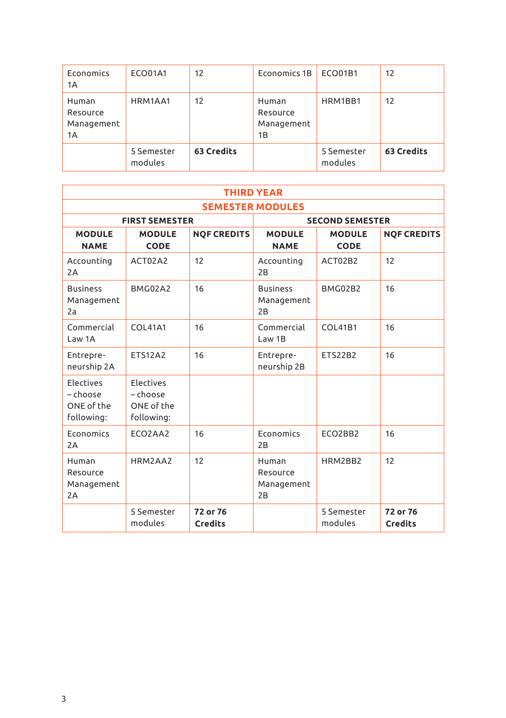| Economics<br>1A                       | <b>ECO01A1</b>        | 12         | Economics 1B                          | ECO01B1               | 12         |
|---------------------------------------|-----------------------|------------|---------------------------------------|-----------------------|------------|
| Human<br>Resource<br>Management<br>1A | HRM1AA1               | 12         | Human<br>Resource<br>Management<br>1B | HRM1BB1               | 12         |
|                                       | 5 Semester<br>modules | 63 Credits |                                       | 5 Semester<br>modules | 63 Credits |

| <b>THIRD YEAR</b>                                        |                                                          |                            |                                       |                        |                            |
|----------------------------------------------------------|----------------------------------------------------------|----------------------------|---------------------------------------|------------------------|----------------------------|
| <b>SEMESTER MODULES</b>                                  |                                                          |                            |                                       |                        |                            |
|                                                          | <b>FIRST SEMESTER</b>                                    |                            |                                       | <b>SECOND SEMESTER</b> |                            |
| <b>MODULE</b>                                            | <b>MODULE</b>                                            | <b>NQF CREDITS</b>         | <b>MODULE</b>                         | <b>MODULE</b>          | <b>NOF CREDITS</b>         |
| <b>NAME</b>                                              | <b>CODE</b>                                              |                            | <b>NAME</b>                           | <b>CODE</b>            |                            |
| Accounting<br>2A                                         | ACT02A2                                                  | 12                         | Accounting<br>2B                      | ACT02B2                | 12                         |
| <b>Business</b><br>Management<br>2a                      | BMG02A2                                                  | 16                         | <b>Business</b><br>Management<br>2B   | <b>BMG02B2</b>         | 16                         |
| Commercial<br>Law 1A                                     | COL41A1                                                  | 16                         | Commercial<br>Law 1B                  | <b>COL41B1</b>         | 16                         |
| Entrepre-<br>neurship 2A                                 | <b>ETS12A2</b>                                           | 16                         | Entrepre-<br>neurship 2B              | <b>ETS22B2</b>         | 16                         |
| <b>Flectives</b><br>- choose<br>ONE of the<br>following: | <b>Flectives</b><br>- choose<br>ONE of the<br>following: |                            |                                       |                        |                            |
| Economics<br>2A                                          | ECO2AA2                                                  | 16                         | Economics<br>2B                       | ECO2BB2                | 16                         |
| Human<br>Resource<br>Management<br>2A                    | HRM2AA2                                                  | 12                         | Human<br>Resource<br>Management<br>2B | HRM2BB2                | 12                         |
|                                                          | 5 Semester<br>modules                                    | 72 or 76<br><b>Credits</b> |                                       | 5 Semester<br>modules  | 72 or 76<br><b>Credits</b> |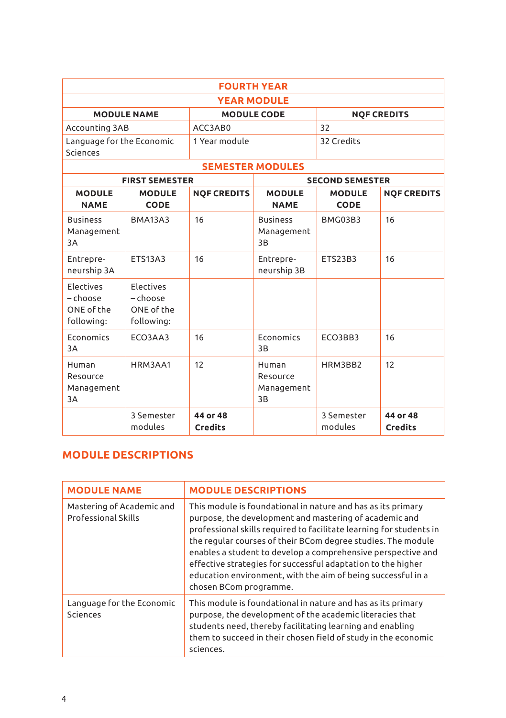| <b>FOURTH YEAR</b>                                |                                                     |                            |                                       |                              |                     |  |
|---------------------------------------------------|-----------------------------------------------------|----------------------------|---------------------------------------|------------------------------|---------------------|--|
| <b>YEAR MODULE</b>                                |                                                     |                            |                                       |                              |                     |  |
| <b>MODULE NAME</b>                                |                                                     |                            | <b>MODULE CODE</b>                    |                              | <b>NOF CREDITS</b>  |  |
| Accounting 3AB                                    |                                                     | ACC3AB0                    |                                       | 32                           |                     |  |
| Language for the Economic<br>Sciences             |                                                     | 1 Year module              |                                       | 32 Credits                   |                     |  |
|                                                   |                                                     |                            | <b>SEMESTER MODULES</b>               |                              |                     |  |
|                                                   | <b>FIRST SEMESTER</b>                               |                            |                                       | <b>SECOND SEMESTER</b>       |                     |  |
| <b>MODULE</b><br><b>NAME</b>                      | <b>MODULE</b><br>CODE                               | <b>NOF CREDITS</b>         | <b>MODULE</b><br><b>NAME</b>          | <b>MODULE</b><br><b>CODE</b> | <b>NOF CREDITS</b>  |  |
| <b>Business</b><br>Management<br>3A               | <b>BMA13A3</b>                                      | 16                         | <b>Business</b><br>Management<br>3B   | <b>BMG03B3</b>               | 16                  |  |
| Entrepre-<br>neurship 3A                          | <b>ETS13A3</b>                                      | 16                         | Entrepre-<br>neurship 3B              | ETS23B3                      | 16                  |  |
| Electives<br>- choose<br>ONE of the<br>following: | Electives<br>$-$ choose<br>ONE of the<br>following: |                            |                                       |                              |                     |  |
| <b>Economics</b><br>3A                            | ECO3AA3                                             | 16                         | <b>Economics</b><br>3B                | FCO3BB3                      | 16                  |  |
| Human<br>Resource<br>Management<br>3A             | HRM3AA1                                             | 12                         | Human<br>Resource<br>Management<br>3B | HRM3BB2                      | 12                  |  |
|                                                   | 3 Semester<br>modules                               | 44 or 48<br><b>Credits</b> |                                       | 3 Semester<br>modules        | 44 or 48<br>Credits |  |

## **MODULE DESCRIPTIONS**

| <b>MODULE NAME</b>                                      | <b>MODULE DESCRIPTIONS</b>                                                                                                                                                                                                                                                                                                                                                                                                                                                              |
|---------------------------------------------------------|-----------------------------------------------------------------------------------------------------------------------------------------------------------------------------------------------------------------------------------------------------------------------------------------------------------------------------------------------------------------------------------------------------------------------------------------------------------------------------------------|
| Mastering of Academic and<br><b>Professional Skills</b> | This module is foundational in nature and has as its primary<br>purpose, the development and mastering of academic and<br>professional skills required to facilitate learning for students in<br>the regular courses of their BCom degree studies. The module<br>enables a student to develop a comprehensive perspective and<br>effective strategies for successful adaptation to the higher<br>education environment, with the aim of being successful in a<br>chosen BCom programme. |
| Language for the Economic<br>Sciences                   | This module is foundational in nature and has as its primary<br>purpose, the development of the academic literacies that<br>students need, thereby facilitating learning and enabling<br>them to succeed in their chosen field of study in the economic<br>sciences.                                                                                                                                                                                                                    |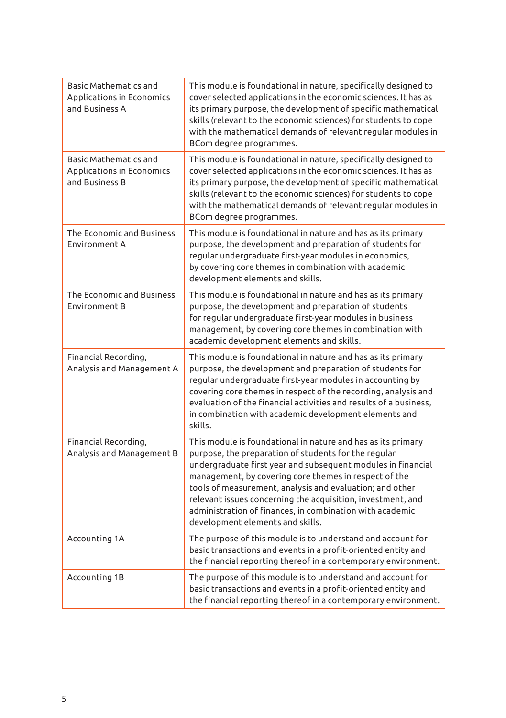| Basic Mathematics and<br>Applications in Economics<br>and Business A | This module is foundational in nature, specifically designed to<br>cover selected applications in the economic sciences. It has as<br>its primary purpose, the development of specific mathematical<br>skills (relevant to the economic sciences) for students to cope<br>with the mathematical demands of relevant regular modules in<br>BCom degree programmes.                                                                                                        |
|----------------------------------------------------------------------|--------------------------------------------------------------------------------------------------------------------------------------------------------------------------------------------------------------------------------------------------------------------------------------------------------------------------------------------------------------------------------------------------------------------------------------------------------------------------|
| Basic Mathematics and<br>Applications in Economics<br>and Business B | This module is foundational in nature, specifically designed to<br>cover selected applications in the economic sciences. It has as<br>its primary purpose, the development of specific mathematical<br>skills (relevant to the economic sciences) for students to cope<br>with the mathematical demands of relevant regular modules in<br>BCom degree programmes.                                                                                                        |
| The Economic and Business<br>Environment A                           | This module is foundational in nature and has as its primary<br>purpose, the development and preparation of students for<br>regular undergraduate first-year modules in economics,<br>by covering core themes in combination with academic<br>development elements and skills.                                                                                                                                                                                           |
| The Economic and Business<br>Environment B                           | This module is foundational in nature and has as its primary<br>purpose, the development and preparation of students<br>for regular undergraduate first-year modules in business<br>management, by covering core themes in combination with<br>academic development elements and skills.                                                                                                                                                                                 |
| Financial Recording,<br>Analysis and Management A                    | This module is foundational in nature and has as its primary<br>purpose, the development and preparation of students for<br>regular undergraduate first-year modules in accounting by<br>covering core themes in respect of the recording, analysis and<br>evaluation of the financial activities and results of a business,<br>in combination with academic development elements and<br>skills.                                                                         |
| Financial Recording,<br>Analysis and Management B                    | This module is foundational in nature and has as its primary<br>purpose, the preparation of students for the regular<br>undergraduate first year and subsequent modules in financial<br>management, by covering core themes in respect of the<br>tools of measurement, analysis and evaluation; and other<br>relevant issues concerning the acquisition, investment, and<br>administration of finances, in combination with academic<br>development elements and skills. |
| Accounting 1A                                                        | The purpose of this module is to understand and account for<br>basic transactions and events in a profit-oriented entity and<br>the financial reporting thereof in a contemporary environment.                                                                                                                                                                                                                                                                           |
| Accounting 1B                                                        | The purpose of this module is to understand and account for<br>basic transactions and events in a profit-oriented entity and<br>the financial reporting thereof in a contemporary environment.                                                                                                                                                                                                                                                                           |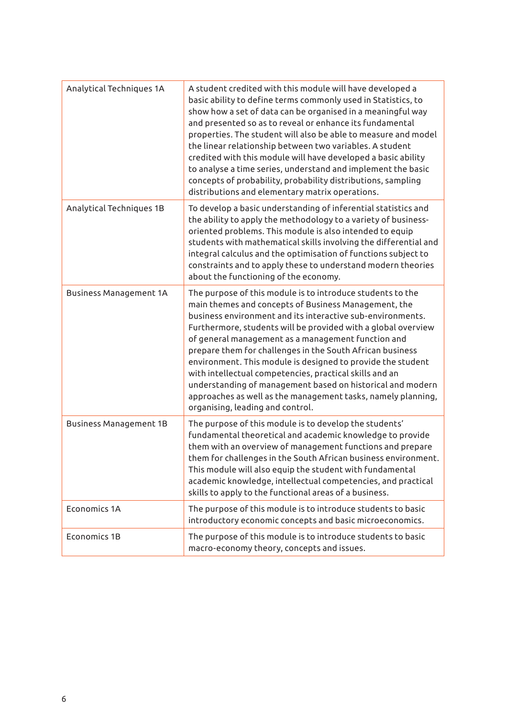| Analytical Techniques 1A      | A student credited with this module will have developed a<br>basic ability to define terms commonly used in Statistics, to<br>show how a set of data can be organised in a meaningful way<br>and presented so as to reveal or enhance its fundamental<br>properties. The student will also be able to measure and model<br>the linear relationship between two variables. A student<br>credited with this module will have developed a basic ability<br>to analyse a time series, understand and implement the basic<br>concepts of probability, probability distributions, sampling<br>distributions and elementary matrix operations.                          |
|-------------------------------|------------------------------------------------------------------------------------------------------------------------------------------------------------------------------------------------------------------------------------------------------------------------------------------------------------------------------------------------------------------------------------------------------------------------------------------------------------------------------------------------------------------------------------------------------------------------------------------------------------------------------------------------------------------|
| Analytical Techniques 1B      | To develop a basic understanding of inferential statistics and<br>the ability to apply the methodology to a variety of business-<br>oriented problems. This module is also intended to equip<br>students with mathematical skills involving the differential and<br>integral calculus and the optimisation of functions subject to<br>constraints and to apply these to understand modern theories<br>about the functioning of the economy.                                                                                                                                                                                                                      |
| <b>Business Management 1A</b> | The purpose of this module is to introduce students to the<br>main themes and concepts of Business Management, the<br>business environment and its interactive sub-environments.<br>Furthermore, students will be provided with a global overview<br>of general management as a management function and<br>prepare them for challenges in the South African business<br>environment. This module is designed to provide the student<br>with intellectual competencies, practical skills and an<br>understanding of management based on historical and modern<br>approaches as well as the management tasks, namely planning,<br>organising, leading and control. |
| <b>Business Management 1B</b> | The purpose of this module is to develop the students'<br>fundamental theoretical and academic knowledge to provide<br>them with an overview of management functions and prepare<br>them for challenges in the South African business environment.<br>This module will also equip the student with fundamental<br>academic knowledge, intellectual competencies, and practical<br>skills to apply to the functional areas of a business.                                                                                                                                                                                                                         |
| Economics 1A                  | The purpose of this module is to introduce students to basic<br>introductory economic concepts and basic microeconomics.                                                                                                                                                                                                                                                                                                                                                                                                                                                                                                                                         |
| Economics 1B                  | The purpose of this module is to introduce students to basic<br>macro-economy theory, concepts and issues.                                                                                                                                                                                                                                                                                                                                                                                                                                                                                                                                                       |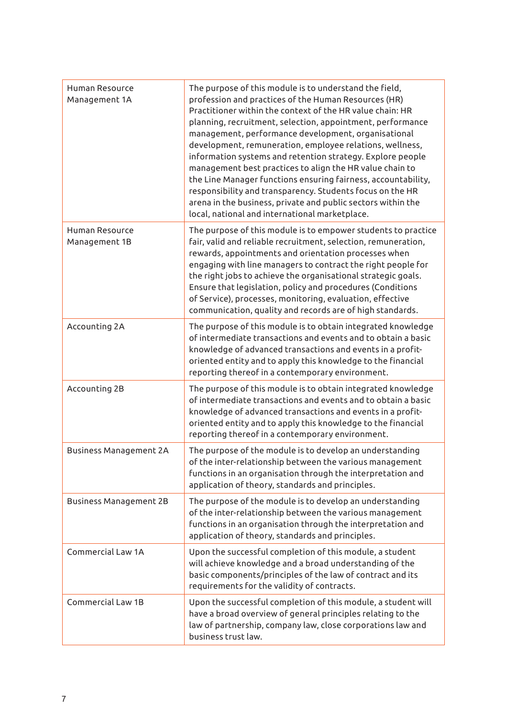| Human Resource<br>Management 1A | The purpose of this module is to understand the field,<br>profession and practices of the Human Resources (HR)<br>Practitioner within the context of the HR value chain: HR<br>planning, recruitment, selection, appointment, performance<br>management, performance development, organisational<br>development, remuneration, employee relations, wellness,<br>information systems and retention strategy. Explore people<br>management best practices to align the HR value chain to<br>the Line Manager functions ensuring fairness, accountability,<br>responsibility and transparency. Students focus on the HR<br>arena in the business, private and public sectors within the<br>local, national and international marketplace. |
|---------------------------------|----------------------------------------------------------------------------------------------------------------------------------------------------------------------------------------------------------------------------------------------------------------------------------------------------------------------------------------------------------------------------------------------------------------------------------------------------------------------------------------------------------------------------------------------------------------------------------------------------------------------------------------------------------------------------------------------------------------------------------------|
| Human Resource<br>Management 1B | The purpose of this module is to empower students to practice<br>fair, valid and reliable recruitment, selection, remuneration,<br>rewards, appointments and orientation processes when<br>engaging with line managers to contract the right people for<br>the right jobs to achieve the organisational strategic goals.<br>Ensure that legislation, policy and procedures (Conditions<br>of Service), processes, monitoring, evaluation, effective<br>communication, quality and records are of high standards.                                                                                                                                                                                                                       |
| Accounting 2A                   | The purpose of this module is to obtain integrated knowledge<br>of intermediate transactions and events and to obtain a basic<br>knowledge of advanced transactions and events in a profit-<br>oriented entity and to apply this knowledge to the financial<br>reporting thereof in a contemporary environment.                                                                                                                                                                                                                                                                                                                                                                                                                        |
| Accounting 2B                   | The purpose of this module is to obtain integrated knowledge<br>of intermediate transactions and events and to obtain a basic<br>knowledge of advanced transactions and events in a profit-<br>oriented entity and to apply this knowledge to the financial<br>reporting thereof in a contemporary environment.                                                                                                                                                                                                                                                                                                                                                                                                                        |
| Business Management 2A          | The purpose of the module is to develop an understanding<br>of the inter-relationship between the various management<br>functions in an organisation through the interpretation and<br>application of theory, standards and principles.                                                                                                                                                                                                                                                                                                                                                                                                                                                                                                |
| Business Management 2B          | The purpose of the module is to develop an understanding<br>of the inter-relationship between the various management<br>functions in an organisation through the interpretation and<br>application of theory, standards and principles.                                                                                                                                                                                                                                                                                                                                                                                                                                                                                                |
| Commercial Law 1A               | Upon the successful completion of this module, a student<br>will achieve knowledge and a broad understanding of the<br>basic components/principles of the law of contract and its<br>requirements for the validity of contracts.                                                                                                                                                                                                                                                                                                                                                                                                                                                                                                       |
| Commercial Law 1B               | Upon the successful completion of this module, a student will<br>have a broad overview of general principles relating to the<br>law of partnership, company law, close corporations law and<br>business trust law.                                                                                                                                                                                                                                                                                                                                                                                                                                                                                                                     |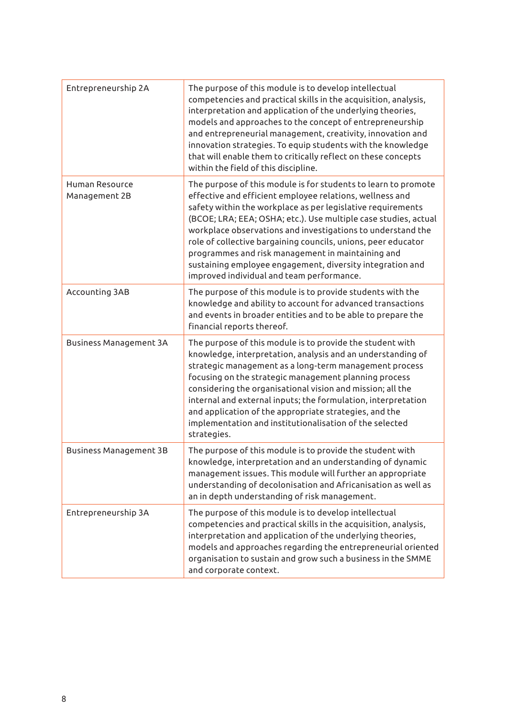| Entrepreneurship 2A             | The purpose of this module is to develop intellectual<br>competencies and practical skills in the acquisition, analysis,<br>interpretation and application of the underlying theories,<br>models and approaches to the concept of entrepreneurship<br>and entrepreneurial management, creativity, innovation and<br>innovation strategies. To equip students with the knowledge<br>that will enable them to critically reflect on these concepts<br>within the field of this discipline.                                                                    |
|---------------------------------|-------------------------------------------------------------------------------------------------------------------------------------------------------------------------------------------------------------------------------------------------------------------------------------------------------------------------------------------------------------------------------------------------------------------------------------------------------------------------------------------------------------------------------------------------------------|
| Human Resource<br>Management 2B | The purpose of this module is for students to learn to promote<br>effective and efficient employee relations, wellness and<br>safety within the workplace as per legislative requirements<br>(BCOE; LRA; EEA; OSHA; etc.). Use multiple case studies, actual<br>workplace observations and investigations to understand the<br>role of collective bargaining councils, unions, peer educator<br>programmes and risk management in maintaining and<br>sustaining employee engagement, diversity integration and<br>improved individual and team performance. |
| Accounting 3AB                  | The purpose of this module is to provide students with the<br>knowledge and ability to account for advanced transactions<br>and events in broader entities and to be able to prepare the<br>financial reports thereof.                                                                                                                                                                                                                                                                                                                                      |
| <b>Business Management 3A</b>   | The purpose of this module is to provide the student with<br>knowledge, interpretation, analysis and an understanding of<br>strategic management as a long-term management process<br>focusing on the strategic management planning process<br>considering the organisational vision and mission; all the<br>internal and external inputs; the formulation, interpretation<br>and application of the appropriate strategies, and the<br>implementation and institutionalisation of the selected<br>strategies.                                              |
| Business Management 3B          | The purpose of this module is to provide the student with<br>knowledge, interpretation and an understanding of dynamic<br>management issues. This module will further an appropriate<br>understanding of decolonisation and Africanisation as well as<br>an in depth understanding of risk management.                                                                                                                                                                                                                                                      |
| Entrepreneurship 3A             | The purpose of this module is to develop intellectual<br>competencies and practical skills in the acquisition, analysis,<br>interpretation and application of the underlying theories,<br>models and approaches regarding the entrepreneurial oriented<br>organisation to sustain and grow such a business in the SMME<br>and corporate context.                                                                                                                                                                                                            |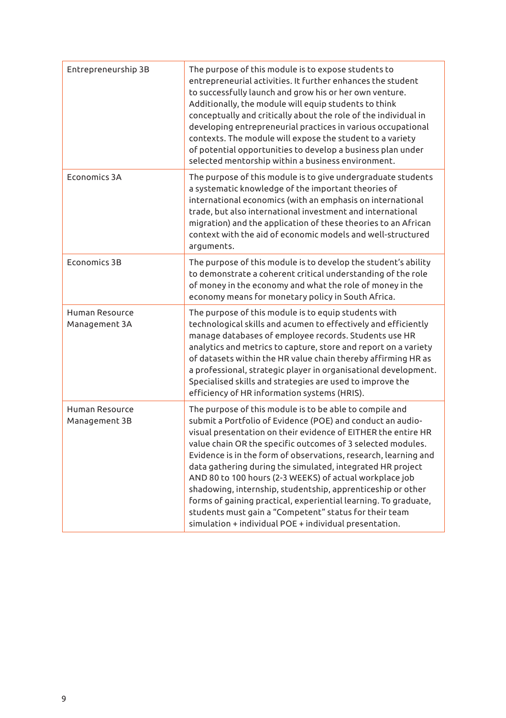| Entrepreneurship 3B             | The purpose of this module is to expose students to<br>entrepreneurial activities. It further enhances the student<br>to successfully launch and grow his or her own venture.<br>Additionally, the module will equip students to think<br>conceptually and critically about the role of the individual in<br>developing entrepreneurial practices in various occupational<br>contexts. The module will expose the student to a variety<br>of potential opportunities to develop a business plan under<br>selected mentorship within a business environment.                                                                                                                                             |
|---------------------------------|---------------------------------------------------------------------------------------------------------------------------------------------------------------------------------------------------------------------------------------------------------------------------------------------------------------------------------------------------------------------------------------------------------------------------------------------------------------------------------------------------------------------------------------------------------------------------------------------------------------------------------------------------------------------------------------------------------|
| Economics 3A                    | The purpose of this module is to give undergraduate students<br>a systematic knowledge of the important theories of<br>international economics (with an emphasis on international<br>trade, but also international investment and international<br>migration) and the application of these theories to an African<br>context with the aid of economic models and well-structured<br>arguments.                                                                                                                                                                                                                                                                                                          |
| Economics 3B                    | The purpose of this module is to develop the student's ability<br>to demonstrate a coherent critical understanding of the role<br>of money in the economy and what the role of money in the<br>economy means for monetary policy in South Africa.                                                                                                                                                                                                                                                                                                                                                                                                                                                       |
| Human Resource<br>Management 3A | The purpose of this module is to equip students with<br>technological skills and acumen to effectively and efficiently<br>manage databases of employee records. Students use HR<br>analytics and metrics to capture, store and report on a variety<br>of datasets within the HR value chain thereby affirming HR as<br>a professional, strategic player in organisational development.<br>Specialised skills and strategies are used to improve the<br>efficiency of HR information systems (HRIS).                                                                                                                                                                                                     |
| Human Resource<br>Management 3B | The purpose of this module is to be able to compile and<br>submit a Portfolio of Evidence (POE) and conduct an audio-<br>visual presentation on their evidence of EITHER the entire HR<br>value chain OR the specific outcomes of 3 selected modules.<br>Evidence is in the form of observations, research, learning and<br>data gathering during the simulated, integrated HR project<br>AND 80 to 100 hours (2-3 WEEKS) of actual workplace job<br>shadowing, internship, studentship, apprenticeship or other<br>forms of gaining practical, experiential learning. To graduate,<br>students must gain a "Competent" status for their team<br>simulation + individual POE + individual presentation. |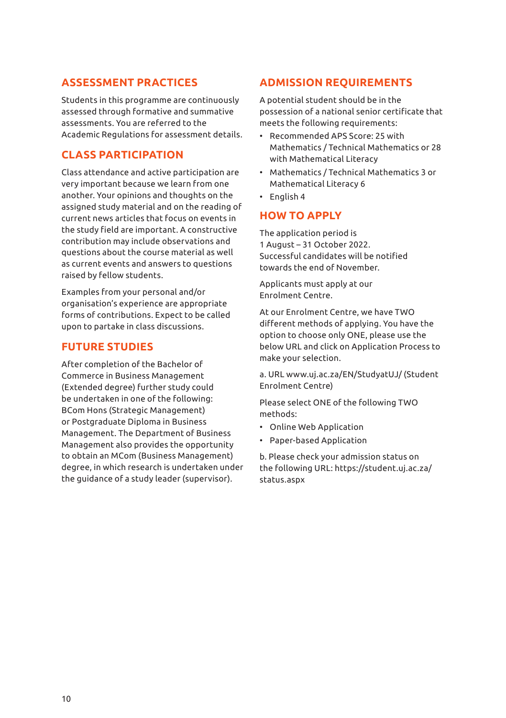## **ASSESSMENT PRACTICES**

Students in this programme are continuously assessed through formative and summative assessments. You are referred to the Academic Regulations for assessment details.

## **CLASS PARTICIPATION**

Class attendance and active participation are very important because we learn from one another. Your opinions and thoughts on the assigned study material and on the reading of current news articles that focus on events in the study field are important. A constructive contribution may include observations and questions about the course material as well as current events and answers to questions raised by fellow students.

Examples from your personal and/or organisation's experience are appropriate forms of contributions. Expect to be called upon to partake in class discussions.

## **FUTURE STUDIES**

After completion of the Bachelor of Commerce in Business Management (Extended degree) further study could be undertaken in one of the following: BCom Hons (Strategic Management) or Postgraduate Diploma in Business Management. The Department of Business Management also provides the opportunity to obtain an MCom (Business Management) degree, in which research is undertaken under the guidance of a study leader (supervisor).

## **ADMISSION REQUIREMENTS**

A potential student should be in the possession of a national senior certificate that meets the following requirements:

- Recommended APS Score: 25 with Mathematics / Technical Mathematics or 28 with Mathematical Literacy
- Mathematics / Technical Mathematics 3 or Mathematical Literacy 6
- English 4

### **HOW TO APPLY**

The application period is 1 August – 31 October 2022. Successful candidates will be notified towards the end of November.

Applicants must apply at our Enrolment Centre.

At our Enrolment Centre, we have TWO different methods of applying. You have the option to choose only ONE, please use the below URL and click on Application Process to make your selection.

a. URL www.uj.ac.za/EN/StudyatUJ/ (Student Enrolment Centre)

Please select ONE of the following TWO methods:

- Online Web Application
- Paper-based Application

b. Please check your admission status on the following URL: https://student.uj.ac.za/ status.aspx